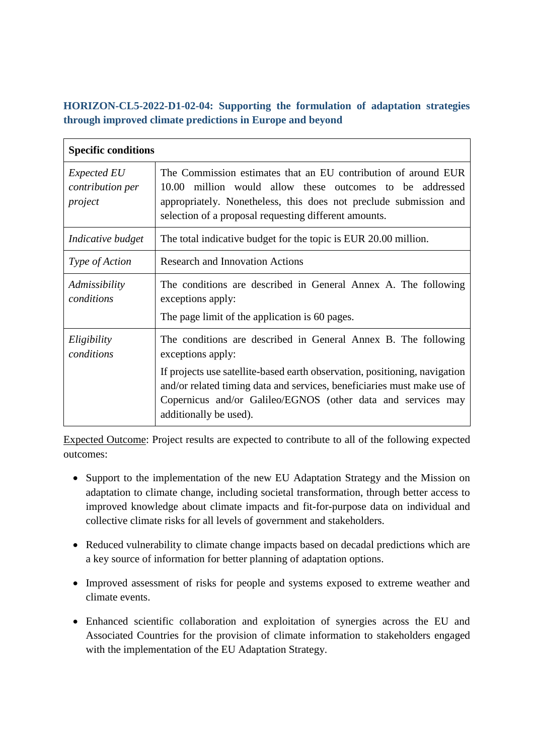## **HORIZON-CL5-2022-D1-02-04: Supporting the formulation of adaptation strategies through improved climate predictions in Europe and beyond**

| <b>Specific conditions</b>                        |                                                                                                                                                                                                                                                          |
|---------------------------------------------------|----------------------------------------------------------------------------------------------------------------------------------------------------------------------------------------------------------------------------------------------------------|
| <i>Expected EU</i><br>contribution per<br>project | The Commission estimates that an EU contribution of around EUR<br>10.00 million would allow these outcomes to be addressed<br>appropriately. Nonetheless, this does not preclude submission and<br>selection of a proposal requesting different amounts. |
| Indicative budget                                 | The total indicative budget for the topic is EUR 20.00 million.                                                                                                                                                                                          |
| Type of Action                                    | <b>Research and Innovation Actions</b>                                                                                                                                                                                                                   |
| Admissibility<br>conditions                       | The conditions are described in General Annex A. The following<br>exceptions apply:<br>The page limit of the application is 60 pages.                                                                                                                    |
| Eligibility<br>conditions                         | The conditions are described in General Annex B. The following<br>exceptions apply:                                                                                                                                                                      |
|                                                   | If projects use satellite-based earth observation, positioning, navigation<br>and/or related timing data and services, beneficiaries must make use of<br>Copernicus and/or Galileo/EGNOS (other data and services may<br>additionally be used).          |

Expected Outcome: Project results are expected to contribute to all of the following expected outcomes:

- Support to the implementation of the new EU Adaptation Strategy and the Mission on adaptation to climate change, including societal transformation, through better access to improved knowledge about climate impacts and fit-for-purpose data on individual and collective climate risks for all levels of government and stakeholders.
- Reduced vulnerability to climate change impacts based on decadal predictions which are a key source of information for better planning of adaptation options.
- Improved assessment of risks for people and systems exposed to extreme weather and climate events.
- Enhanced scientific collaboration and exploitation of synergies across the EU and Associated Countries for the provision of climate information to stakeholders engaged with the implementation of the EU Adaptation Strategy.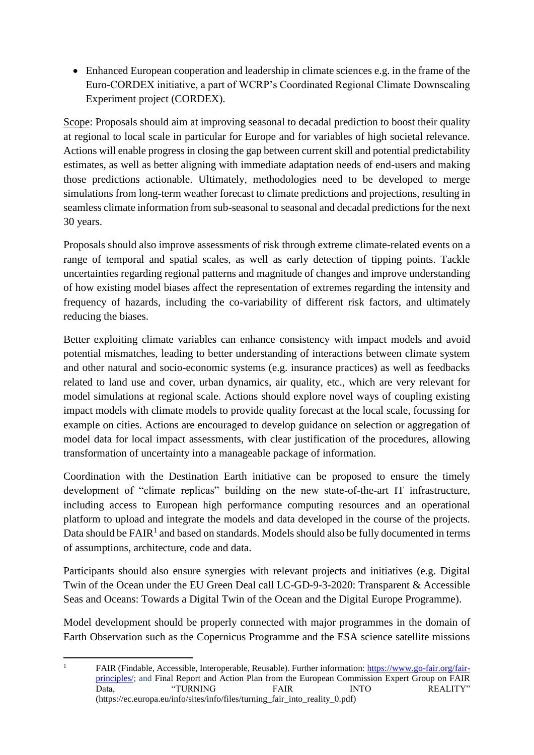Enhanced European cooperation and leadership in climate sciences e.g. in the frame of the Euro-CORDEX initiative, a part of WCRP's Coordinated Regional Climate Downscaling Experiment project (CORDEX).

Scope: Proposals should aim at improving seasonal to decadal prediction to boost their quality at regional to local scale in particular for Europe and for variables of high societal relevance. Actions will enable progress in closing the gap between current skill and potential predictability estimates, as well as better aligning with immediate adaptation needs of end-users and making those predictions actionable. Ultimately, methodologies need to be developed to merge simulations from long-term weather forecast to climate predictions and projections, resulting in seamless climate information from sub-seasonal to seasonal and decadal predictions for the next 30 years.

Proposals should also improve assessments of risk through extreme climate-related events on a range of temporal and spatial scales, as well as early detection of tipping points. Tackle uncertainties regarding regional patterns and magnitude of changes and improve understanding of how existing model biases affect the representation of extremes regarding the intensity and frequency of hazards, including the co-variability of different risk factors, and ultimately reducing the biases.

Better exploiting climate variables can enhance consistency with impact models and avoid potential mismatches, leading to better understanding of interactions between climate system and other natural and socio-economic systems (e.g. insurance practices) as well as feedbacks related to land use and cover, urban dynamics, air quality, etc., which are very relevant for model simulations at regional scale. Actions should explore novel ways of coupling existing impact models with climate models to provide quality forecast at the local scale, focussing for example on cities. Actions are encouraged to develop guidance on selection or aggregation of model data for local impact assessments, with clear justification of the procedures, allowing transformation of uncertainty into a manageable package of information.

Coordination with the Destination Earth initiative can be proposed to ensure the timely development of "climate replicas" building on the new state-of-the-art IT infrastructure, including access to European high performance computing resources and an operational platform to upload and integrate the models and data developed in the course of the projects. Data should be  $FAIR<sup>1</sup>$  and based on standards. Models should also be fully documented in terms of assumptions, architecture, code and data.

Participants should also ensure synergies with relevant projects and initiatives (e.g. Digital Twin of the Ocean under the EU Green Deal call LC-GD-9-3-2020: Transparent & Accessible Seas and Oceans: Towards a Digital Twin of the Ocean and the Digital Europe Programme).

Model development should be properly connected with major programmes in the domain of Earth Observation such as the Copernicus Programme and the ESA science satellite missions

1

<sup>&</sup>lt;sup>1</sup> FAIR (Findable, Accessible, Interoperable, Reusable). Further information: [https://www.go-fair.org/fair](https://www.go-fair.org/fair-principles/)[principles/;](https://www.go-fair.org/fair-principles/) and Final Report and Action Plan from the European Commission Expert Group on FAIR Data, "TURNING FAIR INTO REALITY" (https://ec.europa.eu/info/sites/info/files/turning\_fair\_into\_reality\_0.pdf)